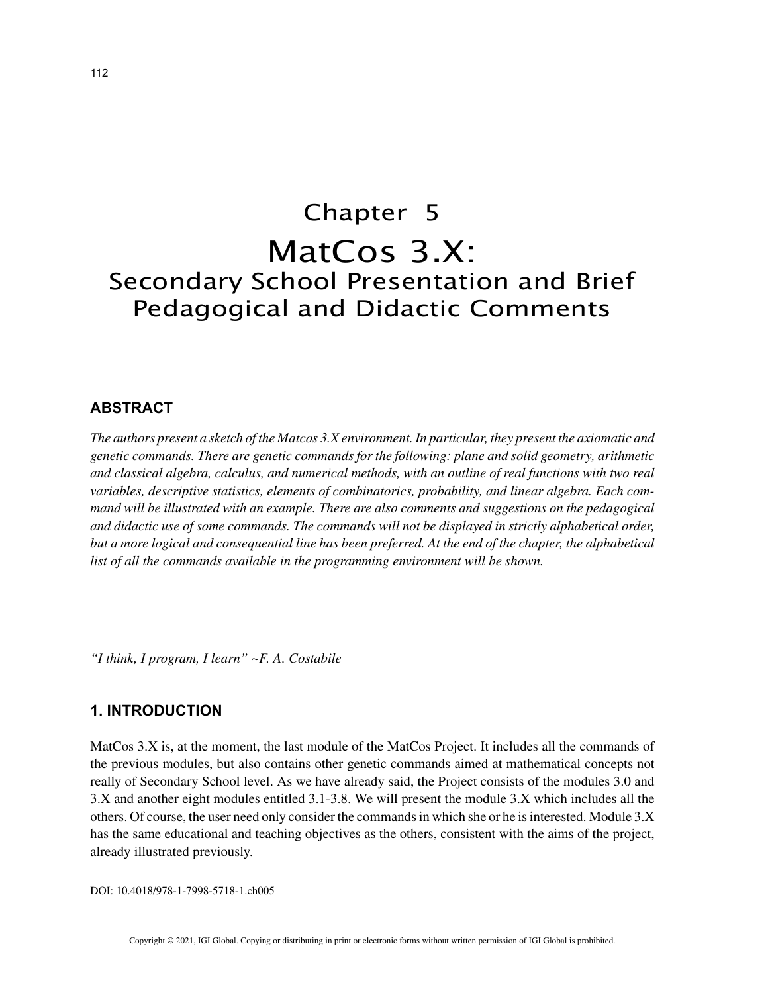# Chapter 5 MatCos 3.X: Secondary School Presentation and Brief Pedagogical and Didactic Comments

## **ABSTRACT**

*The authors present a sketch of the Matcos 3.X environment. In particular, they present the axiomatic and genetic commands. There are genetic commands for the following: plane and solid geometry, arithmetic and classical algebra, calculus, and numerical methods, with an outline of real functions with two real variables, descriptive statistics, elements of combinatorics, probability, and linear algebra. Each command will be illustrated with an example. There are also comments and suggestions on the pedagogical and didactic use of some commands. The commands will not be displayed in strictly alphabetical order, but a more logical and consequential line has been preferred. At the end of the chapter, the alphabetical list of all the commands available in the programming environment will be shown.*

*"I think, I program, I learn" ~F. A. Costabile*

## **1. INTRODUCTION**

MatCos 3.X is, at the moment, the last module of the MatCos Project. It includes all the commands of the previous modules, but also contains other genetic commands aimed at mathematical concepts not really of Secondary School level. As we have already said, the Project consists of the modules 3.0 and 3.X and another eight modules entitled 3.1-3.8. We will present the module 3.X which includes all the others. Of course, the user need only consider the commands in which she or he is interested. Module 3.X has the same educational and teaching objectives as the others, consistent with the aims of the project, already illustrated previously.

DOI: 10.4018/978-1-7998-5718-1.ch005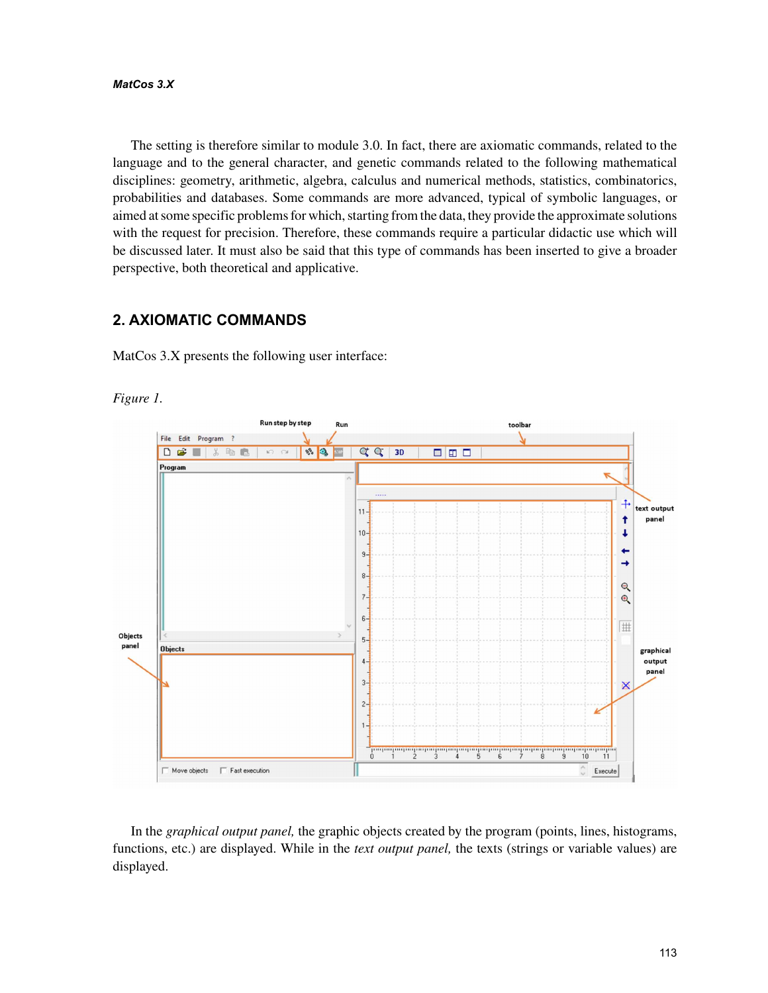#### *MatCos 3.X*

The setting is therefore similar to module 3.0. In fact, there are axiomatic commands, related to the language and to the general character, and genetic commands related to the following mathematical disciplines: geometry, arithmetic, algebra, calculus and numerical methods, statistics, combinatorics, probabilities and databases. Some commands are more advanced, typical of symbolic languages, or aimed at some specific problems for which, starting from the data, they provide the approximate solutions with the request for precision. Therefore, these commands require a particular didactic use which will be discussed later. It must also be said that this type of commands has been inserted to give a broader perspective, both theoretical and applicative.

# **2. AXIOMATIC COMMANDS**

MatCos 3.X presents the following user interface:





In the *graphical output panel,* the graphic objects created by the program (points, lines, histograms, functions, etc.) are displayed. While in the *text output panel,* the texts (strings or variable values) are displayed.